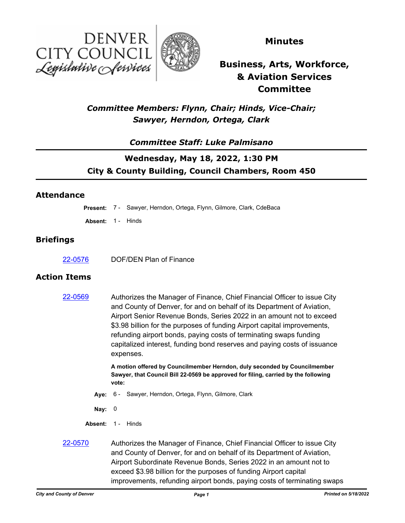



### **Minutes**

# **Business, Arts, Workforce, & Aviation Services Committee**

## *Committee Members: Flynn, Chair; Hinds, Vice-Chair; Sawyer, Herndon, Ortega, Clark*

### *Committee Staff: Luke Palmisano*

## **Wednesday, May 18, 2022, 1:30 PM City & County Building, Council Chambers, Room 450**

#### **Attendance**

**Present:** 7 - Sawyer, Herndon, Ortega, Flynn, Gilmore, Clark, CdeBaca

**Absent:** 1 - Hinds

#### **Briefings**

[22-0576](http://denver.legistar.com/gateway.aspx?m=l&id=/matter.aspx?key=21643) DOF/DEN Plan of Finance

#### **Action Items**

[22-0569](http://denver.legistar.com/gateway.aspx?m=l&id=/matter.aspx?key=21636) Authorizes the Manager of Finance, Chief Financial Officer to issue City and County of Denver, for and on behalf of its Department of Aviation, Airport Senior Revenue Bonds, Series 2022 in an amount not to exceed \$3.98 billion for the purposes of funding Airport capital improvements, refunding airport bonds, paying costs of terminating swaps funding capitalized interest, funding bond reserves and paying costs of issuance expenses.

> **A motion offered by Councilmember Herndon, duly seconded by Councilmember Sawyer, that Council Bill 22-0569 be approved for filing, carried by the following vote:**

**Aye:** 6 - Sawyer, Herndon, Ortega, Flynn, Gilmore, Clark

**Nay:** 0

- Absent: 1 Hinds
- [22-0570](http://denver.legistar.com/gateway.aspx?m=l&id=/matter.aspx?key=21637) Authorizes the Manager of Finance, Chief Financial Officer to issue City and County of Denver, for and on behalf of its Department of Aviation, Airport Subordinate Revenue Bonds, Series 2022 in an amount not to exceed \$3.98 billion for the purposes of funding Airport capital improvements, refunding airport bonds, paying costs of terminating swaps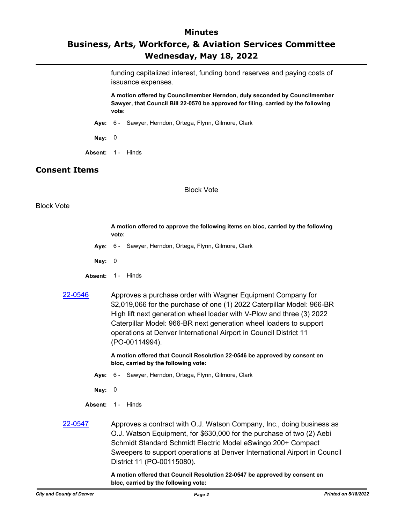### **Minutes Business, Arts, Workforce, & Aviation Services Committee Wednesday, May 18, 2022**

funding capitalized interest, funding bond reserves and paying costs of issuance expenses.

**A motion offered by Councilmember Herndon, duly seconded by Councilmember Sawyer, that Council Bill 22-0570 be approved for filing, carried by the following vote:**

- **Aye:** 6 Sawyer, Herndon, Ortega, Flynn, Gilmore, Clark
- **Nay:** 0
- Absent: 1 Hinds

#### **Consent Items**

#### Block Vote

#### Block Vote

**A motion offered to approve the following items en bloc, carried by the following vote:**

- **Aye:** 6 Sawyer, Herndon, Ortega, Flynn, Gilmore, Clark
- **Nay:** 0
- Absent: 1 Hinds
- [22-0546](http://denver.legistar.com/gateway.aspx?m=l&id=/matter.aspx?key=21613) Approves a purchase order with Wagner Equipment Company for \$2,019,066 for the purchase of one (1) 2022 Caterpillar Model: 966-BR High lift next generation wheel loader with V-Plow and three (3) 2022 Caterpillar Model: 966-BR next generation wheel loaders to support operations at Denver International Airport in Council District 11 (PO-00114994).

**A motion offered that Council Resolution 22-0546 be approved by consent en bloc, carried by the following vote:**

- **Aye:** 6 Sawyer, Herndon, Ortega, Flynn, Gilmore, Clark
- **Nay:** 0
- Absent: 1 Hinds
- [22-0547](http://denver.legistar.com/gateway.aspx?m=l&id=/matter.aspx?key=21614) Approves a contract with O.J. Watson Company, Inc., doing business as O.J. Watson Equipment, for \$630,000 for the purchase of two (2) Aebi Schmidt Standard Schmidt Electric Model eSwingo 200+ Compact Sweepers to support operations at Denver International Airport in Council District 11 (PO-00115080).

**A motion offered that Council Resolution 22-0547 be approved by consent en bloc, carried by the following vote:**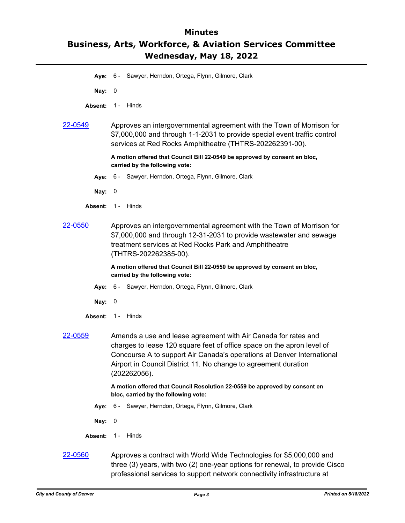## **Minutes Business, Arts, Workforce, & Aviation Services Committee Wednesday, May 18, 2022**

- **Aye:** 6 Sawyer, Herndon, Ortega, Flynn, Gilmore, Clark
- **Nay:** 0
- Absent: 1 Hinds
- [22-0549](http://denver.legistar.com/gateway.aspx?m=l&id=/matter.aspx?key=21616) Approves an intergovernmental agreement with the Town of Morrison for \$7,000,000 and through 1-1-2031 to provide special event traffic control services at Red Rocks Amphitheatre (THTRS-202262391-00).

**A motion offered that Council Bill 22-0549 be approved by consent en bloc, carried by the following vote:**

- **Aye:** 6 Sawyer, Herndon, Ortega, Flynn, Gilmore, Clark
- **Nay:** 0
- Absent: 1 Hinds
- [22-0550](http://denver.legistar.com/gateway.aspx?m=l&id=/matter.aspx?key=21617) Approves an intergovernmental agreement with the Town of Morrison for \$7,000,000 and through 12-31-2031 to provide wastewater and sewage treatment services at Red Rocks Park and Amphitheatre (THTRS-202262385-00).

**A motion offered that Council Bill 22-0550 be approved by consent en bloc, carried by the following vote:**

- **Aye:** 6 Sawyer, Herndon, Ortega, Flynn, Gilmore, Clark
- **Nay:** 0
- Absent: 1 Hinds
- [22-0559](http://denver.legistar.com/gateway.aspx?m=l&id=/matter.aspx?key=21626) Amends a use and lease agreement with Air Canada for rates and charges to lease 120 square feet of office space on the apron level of Concourse A to support Air Canada's operations at Denver International Airport in Council District 11. No change to agreement duration (202262056).

**A motion offered that Council Resolution 22-0559 be approved by consent en bloc, carried by the following vote:**

- **Aye:** 6 Sawyer, Herndon, Ortega, Flynn, Gilmore, Clark
- **Nay:** 0
- Absent: 1 Hinds
- [22-0560](http://denver.legistar.com/gateway.aspx?m=l&id=/matter.aspx?key=21627) Approves a contract with World Wide Technologies for \$5,000,000 and three (3) years, with two (2) one-year options for renewal, to provide Cisco professional services to support network connectivity infrastructure at